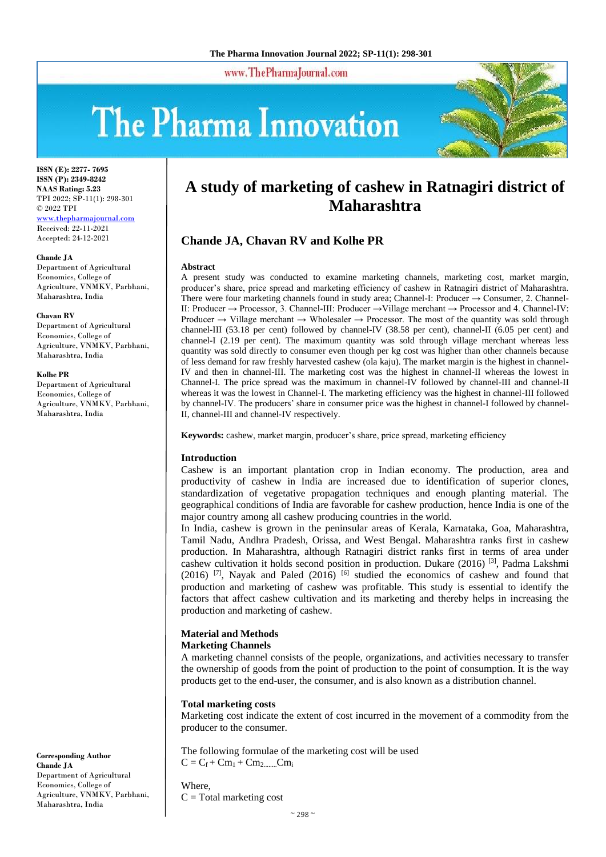www.ThePharmaJournal.com

# The Pharma Innovation



**ISSN (E): 2277- 7695 ISSN (P): 2349-8242 NAAS Rating: 5.23** TPI 2022; SP-11(1): 298-301 © 2022 TPI [www.thepharmajournal.com](file:///C:/Users/gupta/AppData/Roaming/Microsoft/Word/www.thepharmajournal.com) Received: 22-11-2021 Accepted: 24-12-2021

#### **Chande JA**

Department of Agricultural Economics, College of Agriculture, VNMKV, Parbhani, Maharashtra, India

#### **Chavan RV**

Department of Agricultural Economics, College of Agriculture, VNMKV, Parbhani, Maharashtra, India

#### **Kolhe PR**

Department of Agricultural Economics, College of Agriculture, VNMKV, Parbhani, Maharashtra, India

# **A study of marketing of cashew in Ratnagiri district of Maharashtra**

# **Chande JA, Chavan RV and Kolhe PR**

#### **Abstract**

A present study was conducted to examine marketing channels, marketing cost, market margin, producer's share, price spread and marketing efficiency of cashew in Ratnagiri district of Maharashtra. There were four marketing channels found in study area; Channel-I: Producer  $\rightarrow$  Consumer, 2. Channel-II: Producer → Processor, 3. Channel-III: Producer →Village merchant → Processor and 4. Channel-IV: Producer  $\rightarrow$  Village merchant  $\rightarrow$  Wholesaler  $\rightarrow$  Processor. The most of the quantity was sold through channel-III (53.18 per cent) followed by channel-IV (38.58 per cent), channel-II (6.05 per cent) and channel-I (2.19 per cent). The maximum quantity was sold through village merchant whereas less quantity was sold directly to consumer even though per kg cost was higher than other channels because of less demand for raw freshly harvested cashew (ola kaju). The market margin is the highest in channel-IV and then in channel-III. The marketing cost was the highest in channel-II whereas the lowest in Channel-I. The price spread was the maximum in channel-IV followed by channel-III and channel-II whereas it was the lowest in Channel-I. The marketing efficiency was the highest in channel-III followed by channel-IV. The producers' share in consumer price was the highest in channel-I followed by channel-II, channel-III and channel-IV respectively.

**Keywords:** cashew, market margin, producer's share, price spread, marketing efficiency

#### **Introduction**

Cashew is an important plantation crop in Indian economy. The production, area and productivity of cashew in India are increased due to identification of superior clones, standardization of vegetative propagation techniques and enough planting material. The geographical conditions of India are favorable for cashew production, hence India is one of the major country among all cashew producing countries in the world.

In India, cashew is grown in the peninsular areas of Kerala, Karnataka, Goa, Maharashtra, Tamil Nadu, Andhra Pradesh, Orissa, and West Bengal. Maharashtra ranks first in cashew production. In Maharashtra, although Ratnagiri district ranks first in terms of area under cashew cultivation it holds second position in production. Dukare (2016)  $^{[3]}$ , Padma Lakshmi  $(2016)$  [7], Nayak and Paled  $(2016)$  [6] studied the economics of cashew and found that production and marketing of cashew was profitable. This study is essential to identify the factors that affect cashew cultivation and its marketing and thereby helps in increasing the production and marketing of cashew.

#### **Material and Methods**

#### **Marketing Channels**

A marketing channel consists of the people, organizations, and activities necessary to transfer the ownership of goods from the point of production to the point of consumption. It is the way products get to the end-user, the consumer, and is also known as a distribution channel.

#### **Total marketing costs**

Where,

Marketing cost indicate the extent of cost incurred in the movement of a commodity from the producer to the consumer.

The following formulae of the marketing cost will be used  $C = C_f + Cm_1 + Cm_2$ ..........Cm<sub>i</sub>

Department of Agricultural Economics, College of Agriculture, VNMKV, Parbhani, Maharashtra, India

**Corresponding Author**

**Chande JA**

 $C = Total$  marketing cost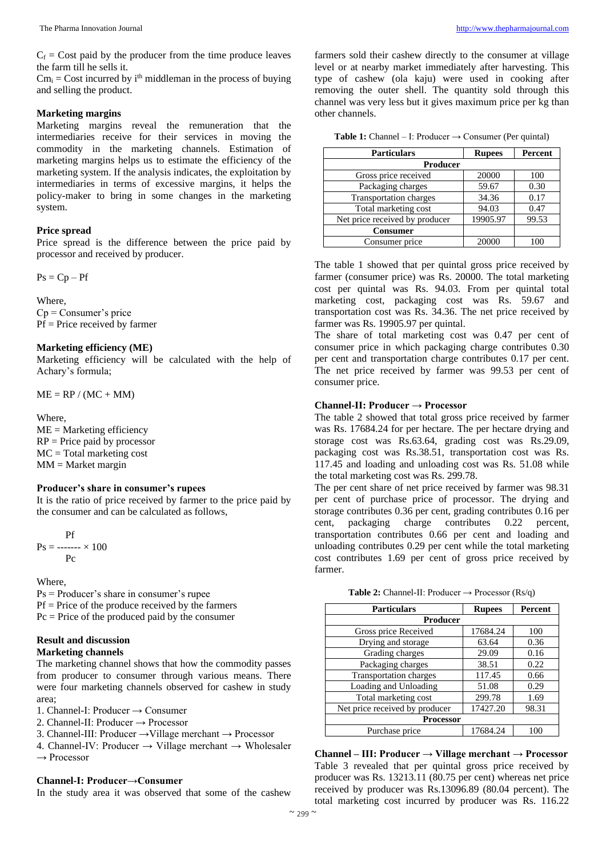$C_f$  = Cost paid by the producer from the time produce leaves the farm till he sells it.

 $Cm_i = Cost$  incurred by i<sup>th</sup> middleman in the process of buying and selling the product.

#### **Marketing margins**

Marketing margins reveal the remuneration that the intermediaries receive for their services in moving the commodity in the marketing channels. Estimation of marketing margins helps us to estimate the efficiency of the marketing system. If the analysis indicates, the exploitation by intermediaries in terms of excessive margins, it helps the policy-maker to bring in some changes in the marketing system.

#### **Price spread**

Price spread is the difference between the price paid by processor and received by producer.

 $Ps = Cp - Pf$ 

Where, Cp = Consumer's price  $Pf$  = Price received by farmer

#### **Marketing efficiency (ME)**

Marketing efficiency will be calculated with the help of Achary's formula;

 $ME = RP / (MC + MM)$ 

Where,  $ME =$ Marketing efficiency  $RP = Price$  paid by processor  $MC = Total$  marketing cost  $MM = Market margin$ 

#### **Producer's share in consumer's rupees**

It is the ratio of price received by farmer to the price paid by the consumer and can be calculated as follows,

$$
Ps = \frac{Pf}{Pc} \times 100
$$

Where,

Ps = Producer's share in consumer's rupee  $Pf = Price of the produce received by the farmers$  $Pc = Price$  of the produced paid by the consumer

# **Result and discussion**

### **Marketing channels**

The marketing channel shows that how the commodity passes from producer to consumer through various means. There were four marketing channels observed for cashew in study area;

- 1. Channel-I: Producer → Consumer
- 2. Channel-II: Producer  $\rightarrow$  Processor
- 3. Channel-III: Producer →Village merchant → Processor
- 4. Channel-IV: Producer  $\rightarrow$  Village merchant  $\rightarrow$  Wholesaler  $\rightarrow$  Processor

#### **Channel-I: Producer→Consumer**

In the study area it was observed that some of the cashew

farmers sold their cashew directly to the consumer at village level or at nearby market immediately after harvesting. This type of cashew (ola kaju) were used in cooking after removing the outer shell. The quantity sold through this channel was very less but it gives maximum price per kg than other channels.

| <b>Table 1:</b> Channel - I: Producer $\rightarrow$ Consumer (Per quintal) |  |  |  |  |
|----------------------------------------------------------------------------|--|--|--|--|
|----------------------------------------------------------------------------|--|--|--|--|

| <b>Particulars</b>             | <b>Rupees</b> | Percent |
|--------------------------------|---------------|---------|
| Producer                       |               |         |
| Gross price received           | 20000         | 100     |
| Packaging charges              | 59.67         | 0.30    |
| Transportation charges         | 34.36         | 0.17    |
| Total marketing cost           | 94.03         | 0.47    |
| Net price received by producer | 19905.97      | 99.53   |
| <b>Consumer</b>                |               |         |
| Consumer price                 | 20000         |         |

The table 1 showed that per quintal gross price received by farmer (consumer price) was Rs. 20000. The total marketing cost per quintal was Rs. 94.03. From per quintal total marketing cost, packaging cost was Rs. 59.67 and transportation cost was Rs. 34.36. The net price received by farmer was Rs. 19905.97 per quintal.

The share of total marketing cost was 0.47 per cent of consumer price in which packaging charge contributes 0.30 per cent and transportation charge contributes 0.17 per cent. The net price received by farmer was 99.53 per cent of consumer price.

#### **Channel-II: Producer → Processor**

The table 2 showed that total gross price received by farmer was Rs. 17684.24 for per hectare. The per hectare drying and storage cost was Rs.63.64, grading cost was Rs.29.09, packaging cost was Rs.38.51, transportation cost was Rs. 117.45 and loading and unloading cost was Rs. 51.08 while the total marketing cost was Rs. 299.78.

The per cent share of net price received by farmer was 98.31 per cent of purchase price of processor. The drying and storage contributes 0.36 per cent, grading contributes 0.16 per cent, packaging charge contributes 0.22 percent, transportation contributes 0.66 per cent and loading and unloading contributes 0.29 per cent while the total marketing cost contributes 1.69 per cent of gross price received by farmer.

|  |  | <b>Table 2:</b> Channel-II: Producer $\rightarrow$ Processor (Rs/q) |  |  |  |
|--|--|---------------------------------------------------------------------|--|--|--|
|--|--|---------------------------------------------------------------------|--|--|--|

| <b>Particulars</b>             | <b>Rupees</b> | Percent |  |
|--------------------------------|---------------|---------|--|
| <b>Producer</b>                |               |         |  |
| Gross price Received           | 17684.24      | 100     |  |
| Drying and storage             | 63.64         | 0.36    |  |
| Grading charges                | 29.09         | 0.16    |  |
| Packaging charges              | 38.51         | 0.22    |  |
| Transportation charges         | 117.45        | 0.66    |  |
| Loading and Unloading          | 51.08         | 0.29    |  |
| Total marketing cost           | 299.78        | 1.69    |  |
| Net price received by producer | 17427.20      | 98.31   |  |
| <b>Processor</b>               |               |         |  |
| Purchase price                 | 17684.24      | 100     |  |

**Channel – III: Producer → Village merchant → Processor** Table 3 revealed that per quintal gross price received by producer was Rs. 13213.11 (80.75 per cent) whereas net price received by producer was Rs.13096.89 (80.04 percent). The total marketing cost incurred by producer was Rs. 116.22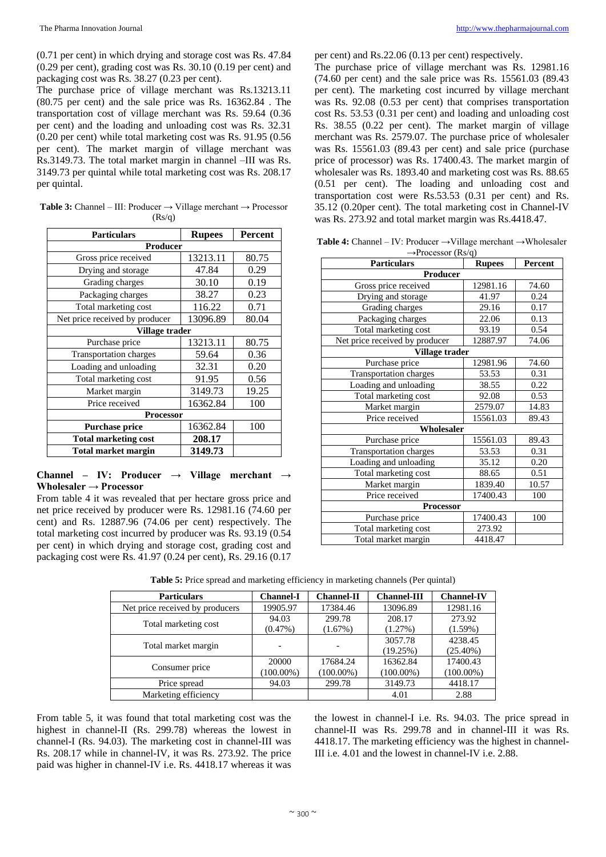(0.71 per cent) in which drying and storage cost was Rs. 47.84 (0.29 per cent), grading cost was Rs. 30.10 (0.19 per cent) and packaging cost was Rs. 38.27 (0.23 per cent).

The purchase price of village merchant was Rs.13213.11 (80.75 per cent) and the sale price was Rs. 16362.84 . The transportation cost of village merchant was Rs. 59.64 (0.36 per cent) and the loading and unloading cost was Rs. 32.31 (0.20 per cent) while total marketing cost was Rs. 91.95 (0.56 per cent). The market margin of village merchant was Rs.3149.73. The total market margin in channel –III was Rs. 3149.73 per quintal while total marketing cost was Rs. 208.17 per quintal.

**Table 3:** Channel – III: Producer → Village merchant → Processor  $(Rs/q)$ 

| <b>Particulars</b>             | <b>Rupees</b>  | <b>Percent</b> |  |  |  |
|--------------------------------|----------------|----------------|--|--|--|
| Producer                       |                |                |  |  |  |
| Gross price received           | 13213.11       | 80.75          |  |  |  |
| Drying and storage             | 47.84          | 0.29           |  |  |  |
| Grading charges                | 30.10          | 0.19           |  |  |  |
| Packaging charges              | 38.27          | 0.23           |  |  |  |
| Total marketing cost           | 116.22         | 0.71           |  |  |  |
| Net price received by producer | 13096.89       | 80.04          |  |  |  |
|                                | Village trader |                |  |  |  |
| Purchase price                 | 13213.11       | 80.75          |  |  |  |
| <b>Transportation charges</b>  | 59.64          | 0.36           |  |  |  |
| Loading and unloading          | 32.31          | 0.20           |  |  |  |
| Total marketing cost           | 91.95          | 0.56           |  |  |  |
| Market margin                  | 3149.73        | 19.25          |  |  |  |
| Price received                 | 16362.84       | 100            |  |  |  |
| Processor                      |                |                |  |  |  |
| <b>Purchase price</b>          | 16362.84       | 100            |  |  |  |
| <b>Total marketing cost</b>    | 208.17         |                |  |  |  |
| <b>Total market margin</b>     | 3149.73        |                |  |  |  |

**Channel – IV: Producer → Village merchant → Wholesaler → Processor**

From table 4 it was revealed that per hectare gross price and net price received by producer were Rs. 12981.16 (74.60 per cent) and Rs. 12887.96 (74.06 per cent) respectively. The total marketing cost incurred by producer was Rs. 93.19 (0.54 per cent) in which drying and storage cost, grading cost and packaging cost were Rs. 41.97 (0.24 per cent), Rs. 29.16 (0.17

per cent) and Rs.22.06 (0.13 per cent) respectively.

The purchase price of village merchant was Rs. 12981.16 (74.60 per cent) and the sale price was Rs. 15561.03 (89.43 per cent). The marketing cost incurred by village merchant was Rs. 92.08 (0.53 per cent) that comprises transportation cost Rs. 53.53 (0.31 per cent) and loading and unloading cost Rs. 38.55 (0.22 per cent). The market margin of village merchant was Rs. 2579.07. The purchase price of wholesaler was Rs. 15561.03 (89.43 per cent) and sale price (purchase price of processor) was Rs. 17400.43. The market margin of wholesaler was Rs. 1893.40 and marketing cost was Rs. 88.65 (0.51 per cent). The loading and unloading cost and transportation cost were Rs.53.53 (0.31 per cent) and Rs. 35.12 (0.20per cent). The total marketing cost in Channel-IV was Rs. 273.92 and total market margin was Rs.4418.47.

**Table 4:** Channel – IV: Producer →Village merchant →Wholesaler  $\rightarrow$ Processor (Rs/q)

| <b>Particulars</b>             | <b>Rupees</b> | Percent |  |  |
|--------------------------------|---------------|---------|--|--|
| Producer                       |               |         |  |  |
| Gross price received           | 12981.16      | 74.60   |  |  |
| Drying and storage             | 41.97         | 0.24    |  |  |
| Grading charges                | 29.16         | 0.17    |  |  |
| Packaging charges              | 22.06         | 0.13    |  |  |
| Total marketing cost           | 93.19         | 0.54    |  |  |
| Net price received by producer | 12887.97      | 74.06   |  |  |
| Village trader                 |               |         |  |  |
| Purchase price                 | 12981.96      | 74.60   |  |  |
| Transportation charges         | 53.53         | 0.31    |  |  |
| Loading and unloading          | 38.55         | 0.22    |  |  |
| Total marketing cost           | 92.08         | 0.53    |  |  |
| Market margin                  | 2579.07       | 14.83   |  |  |
| Price received                 | 15561.03      | 89.43   |  |  |
| Wholesaler                     |               |         |  |  |
| Purchase price                 | 15561.03      | 89.43   |  |  |
| <b>Transportation charges</b>  | 53.53         | 0.31    |  |  |
| Loading and unloading          | 35.12         | 0.20    |  |  |
| Total marketing cost           | 88.65         | 0.51    |  |  |
| Market margin                  | 1839.40       | 10.57   |  |  |
| Price received                 | 17400.43      | 100     |  |  |
| Processor                      |               |         |  |  |
| Purchase price                 | 17400.43      | 100     |  |  |
| Total marketing cost           | 273.92        |         |  |  |
| Total market margin            | 4418.47       |         |  |  |

| <b>Particulars</b>              | <b>Channel-I</b> | <b>Channel-II</b> | <b>Channel-III</b> | <b>Channel-IV</b> |
|---------------------------------|------------------|-------------------|--------------------|-------------------|
| Net price received by producers | 19905.97         | 17384.46          | 13096.89           | 12981.16          |
| Total marketing cost            | 94.03            | 299.78            | 208.17             | 273.92            |
|                                 | $(0.47\%)$       | (1.67%)           | (1.27%)            | $(1.59\%)$        |
|                                 |                  |                   | 3057.78            | 4238.45           |
| Total market margin             |                  |                   | (19.25%)           | $(25.40\%)$       |
|                                 | 20000            | 17684.24          | 16362.84           | 17400.43          |
| Consumer price                  | $(100.00\%)$     | $(100.00\%)$      | $(100.00\%)$       | $(100.00\%)$      |
| Price spread                    | 94.03            | 299.78            | 3149.73            | 4418.17           |
| Marketing efficiency            |                  |                   | 4.01               | 2.88              |

**Table 5:** Price spread and marketing efficiency in marketing channels (Per quintal)

From table 5, it was found that total marketing cost was the highest in channel-II (Rs. 299.78) whereas the lowest in channel-I (Rs. 94.03). The marketing cost in channel-III was Rs. 208.17 while in channel-IV, it was Rs. 273.92. The price paid was higher in channel-IV i.e. Rs. 4418.17 whereas it was

the lowest in channel-I i.e. Rs. 94.03. The price spread in channel-II was Rs. 299.78 and in channel-III it was Rs. 4418.17. The marketing efficiency was the highest in channel-III i.e. 4.01 and the lowest in channel-IV i.e. 2.88.